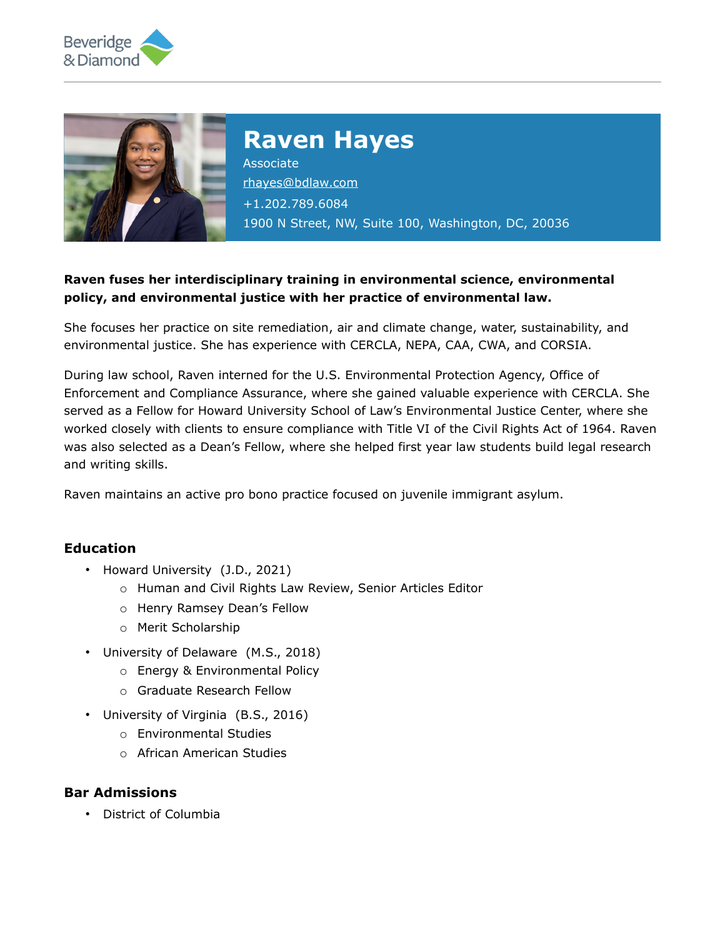



# **Raven Hayes**

Associate [rhayes@bdlaw.com](mailto:rhayes@bdlaw.com) +1.202.789.6084 1900 N Street, NW, Suite 100, Washington, DC, 20036

### **Raven fuses her interdisciplinary training in environmental science, environmental policy, and environmental justice with her practice of environmental law.**

She focuses her practice on site remediation, air and climate change, water, sustainability, and environmental justice. She has experience with CERCLA, NEPA, CAA, CWA, and CORSIA.

During law school, Raven interned for the U.S. Environmental Protection Agency, Office of Enforcement and Compliance Assurance, where she gained valuable experience with CERCLA. She served as a Fellow for Howard University School of Law's Environmental Justice Center, where she worked closely with clients to ensure compliance with Title VI of the Civil Rights Act of 1964. Raven was also selected as a Dean's Fellow, where she helped first year law students build legal research and writing skills.

Raven maintains an active pro bono practice focused on juvenile immigrant asylum.

#### **Education**

- Howard University (J.D., 2021)
	- o Human and Civil Rights Law Review, Senior Articles Editor
	- o Henry Ramsey Dean's Fellow
	- o Merit Scholarship
- University of Delaware (M.S., 2018)
	- o Energy & Environmental Policy
	- o Graduate Research Fellow
- University of Virginia (B.S., 2016)
	- o Environmental Studies
	- o African American Studies

#### **Bar Admissions**

• District of Columbia